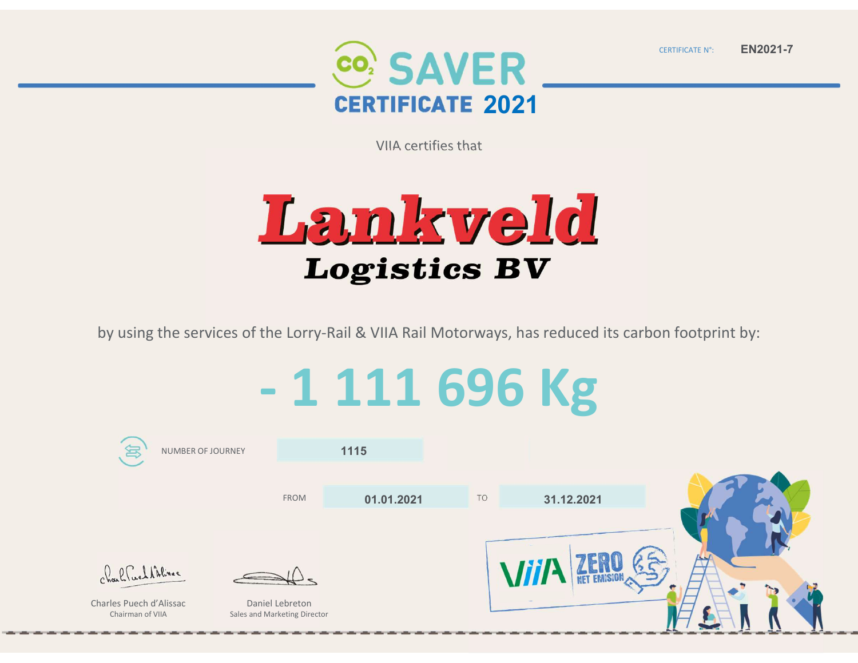

CERTIFICATE N°:

EN2021-7

VIIA certifies that